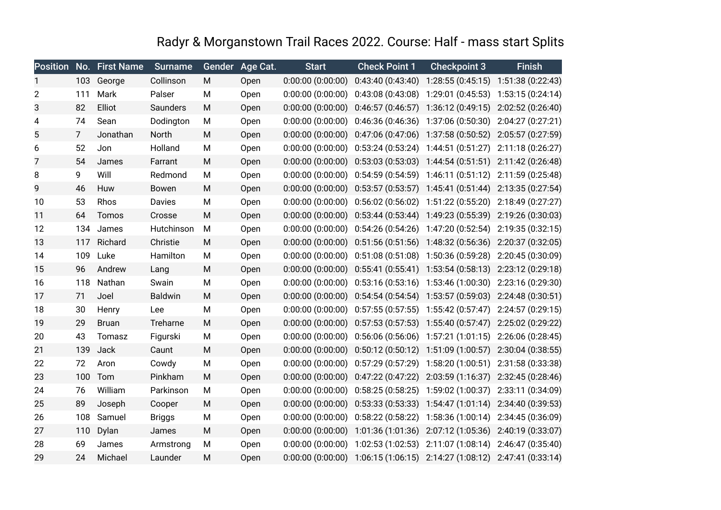## Radyr & Morganstown Trail Races 2022. Course: Half - mass start Splits

|    |                | <b>Position No. First Name</b> | <b>Surname</b> |   | Gender Age Cat. | <b>Start</b>          | <b>Check Point 1</b>                                                                    | <b>Checkpoint 3</b>                                               | <b>Finish</b>     |
|----|----------------|--------------------------------|----------------|---|-----------------|-----------------------|-----------------------------------------------------------------------------------------|-------------------------------------------------------------------|-------------------|
| 1  | 103            | George                         | Collinson      | M | Open            | 0:00:00(0:00:00)      | 0:43:40(0:43:40)                                                                        | 1:28:55 (0:45:15) 1:51:38 (0:22:43)                               |                   |
| 2  | 111            | Mark                           | Palser         | M | Open            | 0:00:00(0:00:00)      |                                                                                         | 0:43:08 (0:43:08) 1:29:01 (0:45:53) 1:53:15 (0:24:14)             |                   |
| 3  | 82             | Elliot                         | Saunders       | M | Open            | 0:00:00(0:00:00)      |                                                                                         | $0:46:57(0:46:57)$ 1:36:12 $(0:49:15)$ 2:02:52 $(0:26:40)$        |                   |
| 4  | 74             | Sean                           | Dodington      | M | Open            | $0:00:00$ $(0:00:00)$ |                                                                                         | $0:46:36(0:46:36)$ 1:37:06 $(0:50:30)$                            | 2:04:27 (0:27:21) |
| 5  | $\overline{7}$ | Jonathan                       | North          | M | Open            | 0:00:00(0:00:00)      |                                                                                         | 0:47:06 (0:47:06) 1:37:58 (0:50:52) 2:05:57 (0:27:59)             |                   |
| 6  | 52             | Jon                            | Holland        | M | Open            | 0:00:00(0:00:00)      |                                                                                         | $0:53:24(0:53:24)$ 1:44:51 $(0:51:27)$ 2:11:18 $(0:26:27)$        |                   |
| 7  | 54             | James                          | Farrant        | M | Open            | 0:00:00(0:00:00)      |                                                                                         | 0:53:03 (0:53:03) 1:44:54 (0:51:51) 2:11:42 (0:26:48)             |                   |
| 8  | 9              | Will                           | Redmond        | M | Open            | $0:00:00$ $(0:00:00)$ |                                                                                         | 0:54:59 (0:54:59) 1:46:11 (0:51:12) 2:11:59 (0:25:48)             |                   |
| 9  | 46             | Huw                            | Bowen          | M | Open            | 0:00:00(0:00:00)      |                                                                                         | $0:53:57$ $(0:53:57)$ 1:45:41 $(0:51:44)$ 2:13:35 $(0:27:54)$     |                   |
| 10 | 53             | Rhos                           | Davies         | M | Open            | 0:00:00(0:00:00)      |                                                                                         | 0:56:02 (0:56:02) 1:51:22 (0:55:20) 2:18:49 (0:27:27)             |                   |
| 11 | 64             | Tomos                          | Crosse         | M | Open            | 0:00:00(0:00:00)      |                                                                                         | $0:53:44(0:53:44)$ 1:49:23 $(0:55:39)$ 2:19:26 $(0:30:03)$        |                   |
| 12 | 134            | James                          | Hutchinson     | M | Open            | 0:00:00(0:00:00)      |                                                                                         | $0:54:26(0:54:26)$ 1:47:20 $(0:52:54)$ 2:19:35 $(0:32:15)$        |                   |
| 13 | 117            | Richard                        | Christie       | M | Open            | 0:00:00(0:00:00)      |                                                                                         | 0:51:56 (0:51:56) 1:48:32 (0:56:36) 2:20:37 (0:32:05)             |                   |
| 14 | 109            | Luke                           | Hamilton       | M | Open            | 0:00:00(0:00:00)      |                                                                                         | 0:51:08 (0:51:08) 1:50:36 (0:59:28) 2:20:45 (0:30:09)             |                   |
| 15 | 96             | Andrew                         | Lang           | M | Open            |                       | $0:00:00$ $(0:00:00)$ $0:55:41$ $(0:55:41)$ $1:53:54$ $(0:58:13)$ $2:23:12$ $(0:29:18)$ |                                                                   |                   |
| 16 | 118            | Nathan                         | Swain          | M | Open            | 0:00:00(0:00:00)      |                                                                                         | 0:53:16 (0:53:16) 1:53:46 (1:00:30) 2:23:16 (0:29:30)             |                   |
| 17 | 71             | Joel                           | <b>Baldwin</b> | M | Open            | $0:00:00$ $(0:00:00)$ |                                                                                         | $0:54:54(0:54:54)$ 1:53:57 (0:59:03) 2:24:48 (0:30:51)            |                   |
| 18 | 30             | Henry                          | Lee            | M | Open            | 0:00:00(0:00:00)      |                                                                                         | $0:57:55(0:57:55)$ 1:55:42 $(0:57:47)$ 2:24:57 $(0:29:15)$        |                   |
| 19 | 29             | <b>Bruan</b>                   | Treharne       | M | Open            | 0:00:00(0:00:00)      |                                                                                         | 0:57:53 (0:57:53) 1:55:40 (0:57:47) 2:25:02 (0:29:22)             |                   |
| 20 | 43             | Tomasz                         | Figurski       | M | Open            | 0:00:00(0:00:00)      |                                                                                         | 0:56:06 (0:56:06) 1:57:21 (1:01:15) 2:26:06 (0:28:45)             |                   |
| 21 | 139            | Jack                           | Caunt          | M | Open            | 0:00:00(0:00:00)      |                                                                                         | $0:50:12$ $(0:50:12)$ $1:51:09$ $(1:00:57)$ $2:30:04$ $(0:38:55)$ |                   |
| 22 | 72             | Aron                           | Cowdy          | M | Open            | 0:00:00(0:00:00)      |                                                                                         | 0:57:29 (0:57:29) 1:58:20 (1:00:51) 2:31:58 (0:33:38)             |                   |
| 23 | 100            | Tom                            | Pinkham        | M | Open            | 0:00:00(0:00:00)      |                                                                                         | 0:47:22 (0:47:22) 2:03:59 (1:16:37) 2:32:45 (0:28:46)             |                   |
| 24 | 76             | William                        | Parkinson      | M | Open            | $0:00:00$ $(0:00:00)$ |                                                                                         | 0:58:25 (0:58:25) 1:59:02 (1:00:37) 2:33:11 (0:34:09)             |                   |
| 25 | 89             | Joseph                         | Cooper         | M | Open            | 0:00:00(0:00:00)      |                                                                                         | $0:53:33(0:53:33)$ $1:54:47(1:01:14)$ $2:34:40(0:39:53)$          |                   |
| 26 | 108            | Samuel                         | <b>Briggs</b>  | М | Open            | 0:00:00(0:00:00)      |                                                                                         | 0:58:22 (0:58:22) 1:58:36 (1:00:14) 2:34:45 (0:36:09)             |                   |
| 27 | 110            | Dylan                          | James          | М | Open            | $0:00:00$ (0:00:00)   |                                                                                         | 1:01:36 (1:01:36) 2:07:12 (1:05:36) 2:40:19 (0:33:07)             |                   |
| 28 | 69             | James                          | Armstrong      | M | Open            | $0:00:00$ $(0:00:00)$ |                                                                                         | 1:02:53 (1:02:53) 2:11:07 (1:08:14) 2:46:47 (0:35:40)             |                   |
| 29 | 24             | Michael                        | Launder        | M | Open            |                       | 0:00:00 (0:00:00) 1:06:15 (1:06:15) 2:14:27 (1:08:12) 2:47:41 (0:33:14)                 |                                                                   |                   |